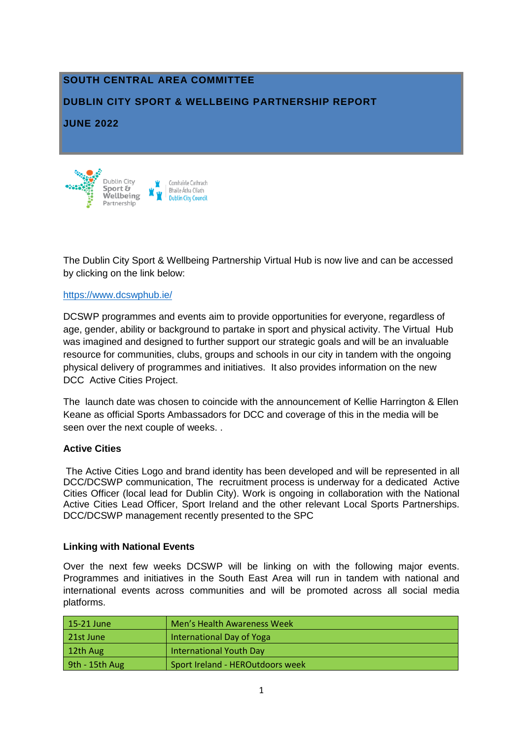## **SOUTH CENTRAL AREA COMMITTEE**

## **DUBLIN CITY SPORT & WELLBEING PARTNERSHIP REPORT**

### **JUNE 2022**



The Dublin City Sport & Wellbeing Partnership Virtual Hub is now live and can be accessed by clicking on the link below:

#### [https://www.dcswphub.ie/](https://scanner.topsec.com/?d=1962&r=show&u=https%3A%2F%2Fwww.dcswphub.ie%2F&t=accff1a64815405768257caff0ae6bca4309fe20)

DCSWP programmes and events aim to provide opportunities for everyone, regardless of age, gender, ability or background to partake in sport and physical activity. The Virtual Hub was imagined and designed to further support our strategic goals and will be an invaluable resource for communities, clubs, groups and schools in our city in tandem with the ongoing physical delivery of programmes and initiatives. It also provides information on the new DCC Active Cities Project.

The launch date was chosen to coincide with the announcement of Kellie Harrington & Ellen Keane as official Sports Ambassadors for DCC and coverage of this in the media will be seen over the next couple of weeks. .

#### **Active Cities**

The Active Cities Logo and brand identity has been developed and will be represented in all DCC/DCSWP communication, The recruitment process is underway for a dedicated Active Cities Officer (local lead for Dublin City). Work is ongoing in collaboration with the National Active Cities Lead Officer, Sport Ireland and the other relevant Local Sports Partnerships. DCC/DCSWP management recently presented to the SPC

#### **Linking with National Events**

Over the next few weeks DCSWP will be linking on with the following major events. Programmes and initiatives in the South East Area will run in tandem with national and international events across communities and will be promoted across all social media platforms.

| $15-21$ June   | Men's Health Awareness Week      |
|----------------|----------------------------------|
| 21st June      | International Day of Yoga        |
| 12th Aug       | <b>International Youth Day</b>   |
| 9th - 15th Aug | Sport Ireland - HEROutdoors week |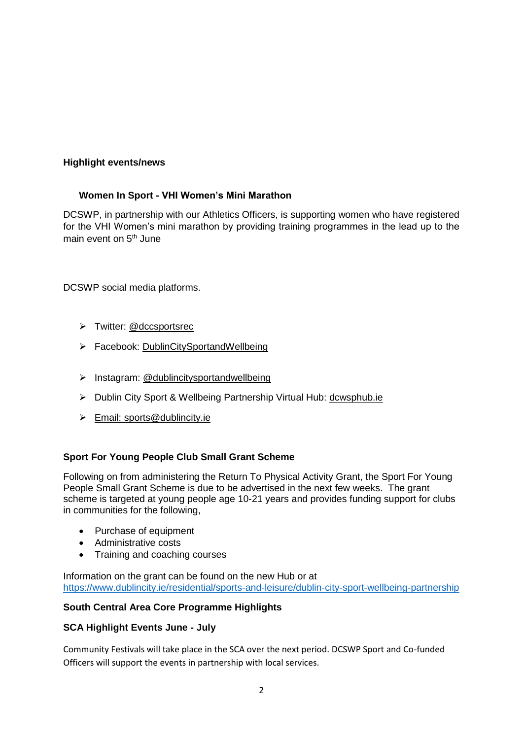## **Highlight events/news**

## **Women In Sport - VHI Women's Mini Marathon**

DCSWP, in partnership with our Athletics Officers, is supporting women who have registered for the VHI Women's mini marathon by providing training programmes in the lead up to the main event on 5<sup>th</sup> June

DCSWP social media platforms.

- > Twitter: @dccsportsrec
- Facebook: [DublinCitySportandWellbeing](https://www.facebook.com/DublinCitySportandWellbeingPartnership/)
- $\triangleright$  Instagram: @dublincitysportandwellbeing
- Dublin City Sport & Wellbeing Partnership Virtual Hub: [dcwsphub.ie](http://www.dcswphub.ie/)
- Email: [sports@dublincity.ie](file://///dccdata/cande/Shared/EandC/Sport%20&%20Wellbeing%20Partnership/Communications/Area%20Committee%20Reports/Reporting%202022/South%20East%20Area/sports@dublincity.ie)

## **Sport For Young People Club Small Grant Scheme**

Following on from administering the Return To Physical Activity Grant, the Sport For Young People Small Grant Scheme is due to be advertised in the next few weeks. The grant scheme is targeted at young people age 10-21 years and provides funding support for clubs in communities for the following,

- Purchase of equipment
- Administrative costs
- Training and coaching courses

Information on the grant can be found on the new Hub or at <https://www.dublincity.ie/residential/sports-and-leisure/dublin-city-sport-wellbeing-partnership>

## **South Central Area Core Programme Highlights**

#### **SCA Highlight Events June - July**

Community Festivals will take place in the SCA over the next period. DCSWP Sport and Co-funded Officers will support the events in partnership with local services.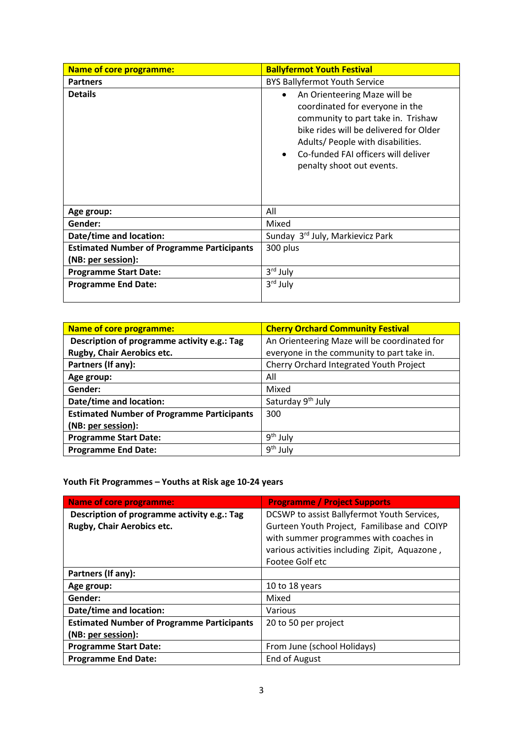| <b>Name of core programme:</b>                    | <b>Ballyfermot Youth Festival</b>                                                                                                                                                                                                                                                  |
|---------------------------------------------------|------------------------------------------------------------------------------------------------------------------------------------------------------------------------------------------------------------------------------------------------------------------------------------|
| <b>Partners</b>                                   | <b>BYS Ballyfermot Youth Service</b>                                                                                                                                                                                                                                               |
| <b>Details</b>                                    | An Orienteering Maze will be<br>$\bullet$<br>coordinated for everyone in the<br>community to part take in. Trishaw<br>bike rides will be delivered for Older<br>Adults/ People with disabilities.<br>Co-funded FAI officers will deliver<br>$\bullet$<br>penalty shoot out events. |
| Age group:                                        | All                                                                                                                                                                                                                                                                                |
| Gender:                                           | Mixed                                                                                                                                                                                                                                                                              |
| Date/time and location:                           | Sunday 3rd July, Markievicz Park                                                                                                                                                                                                                                                   |
| <b>Estimated Number of Programme Participants</b> | 300 plus                                                                                                                                                                                                                                                                           |
| (NB: per session):                                |                                                                                                                                                                                                                                                                                    |
| <b>Programme Start Date:</b>                      | 3rd July                                                                                                                                                                                                                                                                           |
| <b>Programme End Date:</b>                        | 3rd July                                                                                                                                                                                                                                                                           |

| <b>Name of core programme:</b>                    | <b>Cherry Orchard Community Festival</b>     |
|---------------------------------------------------|----------------------------------------------|
| Description of programme activity e.g.: Tag       | An Orienteering Maze will be coordinated for |
| Rugby, Chair Aerobics etc.                        | everyone in the community to part take in.   |
| Partners (If any):                                | Cherry Orchard Integrated Youth Project      |
| Age group:                                        | All                                          |
| Gender:                                           | Mixed                                        |
| Date/time and location:                           | Saturday 9 <sup>th</sup> July                |
| <b>Estimated Number of Programme Participants</b> | 300                                          |
| (NB: per session):                                |                                              |
| <b>Programme Start Date:</b>                      | 9 <sup>th</sup> July                         |
| <b>Programme End Date:</b>                        | $9th$ July                                   |

**Youth Fit Programmes – Youths at Risk age 10-24 years**

| <b>Name of core programme:</b>                    | <b>Programme / Project Supports</b>           |
|---------------------------------------------------|-----------------------------------------------|
| Description of programme activity e.g.: Tag       | DCSWP to assist Ballyfermot Youth Services,   |
| Rugby, Chair Aerobics etc.                        | Gurteen Youth Project, Familibase and COIYP   |
|                                                   | with summer programmes with coaches in        |
|                                                   | various activities including Zipit, Aquazone, |
|                                                   | Footee Golf etc                               |
| Partners (If any):                                |                                               |
| Age group:                                        | 10 to 18 years                                |
| Gender:                                           | Mixed                                         |
| Date/time and location:                           | Various                                       |
| <b>Estimated Number of Programme Participants</b> | 20 to 50 per project                          |
| (NB: per session):                                |                                               |
| <b>Programme Start Date:</b>                      | From June (school Holidays)                   |
| <b>Programme End Date:</b>                        | End of August                                 |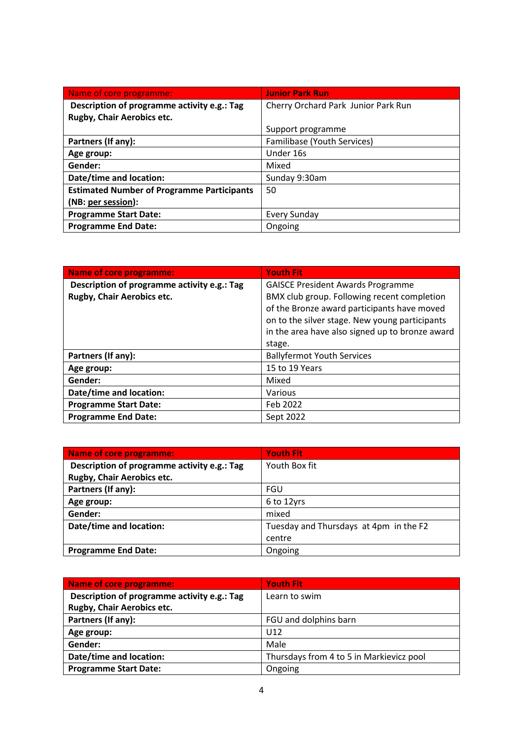| Name of core programme:                           | <b>Junior Park Run</b>              |
|---------------------------------------------------|-------------------------------------|
| Description of programme activity e.g.: Tag       | Cherry Orchard Park Junior Park Run |
| Rugby, Chair Aerobics etc.                        |                                     |
|                                                   | Support programme                   |
| Partners (If any):                                | Familibase (Youth Services)         |
| Age group:                                        | Under 16s                           |
| Gender:                                           | Mixed                               |
| Date/time and location:                           | Sunday 9:30am                       |
| <b>Estimated Number of Programme Participants</b> | 50                                  |
| (NB: per session):                                |                                     |
| <b>Programme Start Date:</b>                      | <b>Every Sunday</b>                 |
| <b>Programme End Date:</b>                        | Ongoing                             |

| <b>Name of core programme:</b>              | <b>Youth Fit</b>                                |
|---------------------------------------------|-------------------------------------------------|
| Description of programme activity e.g.: Tag | <b>GAISCE President Awards Programme</b>        |
| Rugby, Chair Aerobics etc.                  | BMX club group. Following recent completion     |
|                                             | of the Bronze award participants have moved     |
|                                             | on to the silver stage. New young participants  |
|                                             | in the area have also signed up to bronze award |
|                                             | stage.                                          |
| Partners (If any):                          | <b>Ballyfermot Youth Services</b>               |
| Age group:                                  | 15 to 19 Years                                  |
| Gender:                                     | Mixed                                           |
| Date/time and location:                     | Various                                         |
| <b>Programme Start Date:</b>                | Feb 2022                                        |
| <b>Programme End Date:</b>                  | Sept 2022                                       |

| Name of core programme:                     | <b>Youth Fit</b>                       |
|---------------------------------------------|----------------------------------------|
| Description of programme activity e.g.: Tag | Youth Box fit                          |
| Rugby, Chair Aerobics etc.                  |                                        |
| Partners (If any):                          | FGU                                    |
| Age group:                                  | 6 to 12yrs                             |
| Gender:                                     | mixed                                  |
| Date/time and location:                     | Tuesday and Thursdays at 4pm in the F2 |
|                                             | centre                                 |
| <b>Programme End Date:</b>                  | Ongoing                                |

| <b>Name of core programme:</b>              | <b>Youth Fit</b>                         |
|---------------------------------------------|------------------------------------------|
| Description of programme activity e.g.: Tag | Learn to swim                            |
| Rugby, Chair Aerobics etc.                  |                                          |
| Partners (If any):                          | FGU and dolphins barn                    |
| Age group:                                  | U12                                      |
| Gender:                                     | Male                                     |
| Date/time and location:                     | Thursdays from 4 to 5 in Markievicz pool |
| <b>Programme Start Date:</b>                | Ongoing                                  |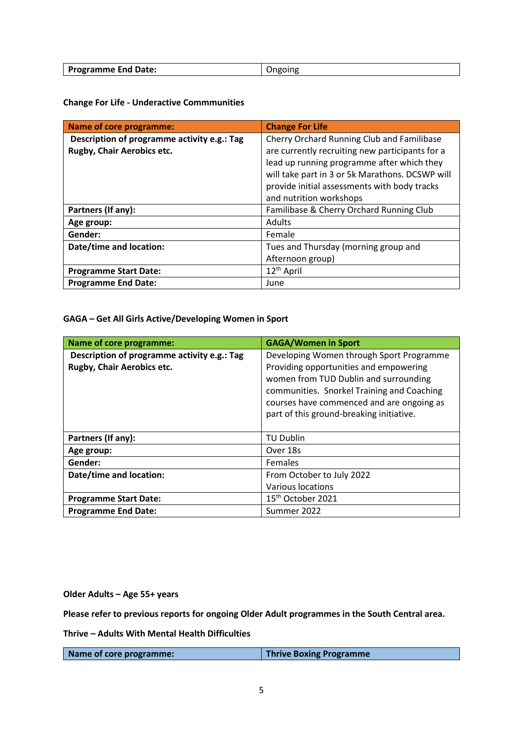| Programme End Date: |  |
|---------------------|--|

**Change For Life - Underactive Commmunities**

| <b>Name of core programme:</b>              | <b>Change For Life</b>                          |
|---------------------------------------------|-------------------------------------------------|
| Description of programme activity e.g.: Tag | Cherry Orchard Running Club and Familibase      |
| Rugby, Chair Aerobics etc.                  | are currently recruiting new participants for a |
|                                             | lead up running programme after which they      |
|                                             | will take part in 3 or 5k Marathons. DCSWP will |
|                                             | provide initial assessments with body tracks    |
|                                             | and nutrition workshops                         |
| Partners (If any):                          | Familibase & Cherry Orchard Running Club        |
| Age group:                                  | <b>Adults</b>                                   |
| Gender:                                     | Female                                          |
| Date/time and location:                     | Tues and Thursday (morning group and            |
|                                             | Afternoon group)                                |
| <b>Programme Start Date:</b>                | 12 <sup>th</sup> April                          |
| <b>Programme End Date:</b>                  | June                                            |

**GAGA – Get All Girls Active/Developing Women in Sport**

| <b>Name of core programme:</b>                                            | <b>GAGA/Women in Sport</b>                                                                                                                                                                                                                                         |
|---------------------------------------------------------------------------|--------------------------------------------------------------------------------------------------------------------------------------------------------------------------------------------------------------------------------------------------------------------|
| Description of programme activity e.g.: Tag<br>Rugby, Chair Aerobics etc. | Developing Women through Sport Programme<br>Providing opportunities and empowering<br>women from TUD Dublin and surrounding<br>communities. Snorkel Training and Coaching<br>courses have commenced and are ongoing as<br>part of this ground-breaking initiative. |
| Partners (If any):                                                        | <b>TU Dublin</b>                                                                                                                                                                                                                                                   |
| Age group:                                                                | Over 18s                                                                                                                                                                                                                                                           |
| Gender:                                                                   | <b>Females</b>                                                                                                                                                                                                                                                     |
| Date/time and location:                                                   | From October to July 2022<br>Various locations                                                                                                                                                                                                                     |
| <b>Programme Start Date:</b>                                              | 15 <sup>th</sup> October 2021                                                                                                                                                                                                                                      |
| <b>Programme End Date:</b>                                                | Summer 2022                                                                                                                                                                                                                                                        |

**Older Adults – Age 55+ years**

**Please refer to previous reports for ongoing Older Adult programmes in the South Central area.** 

**Thrive – Adults With Mental Health Difficulties**

| Name of core programme: | <b>Thrive Boxing Programme</b> |
|-------------------------|--------------------------------|
|                         |                                |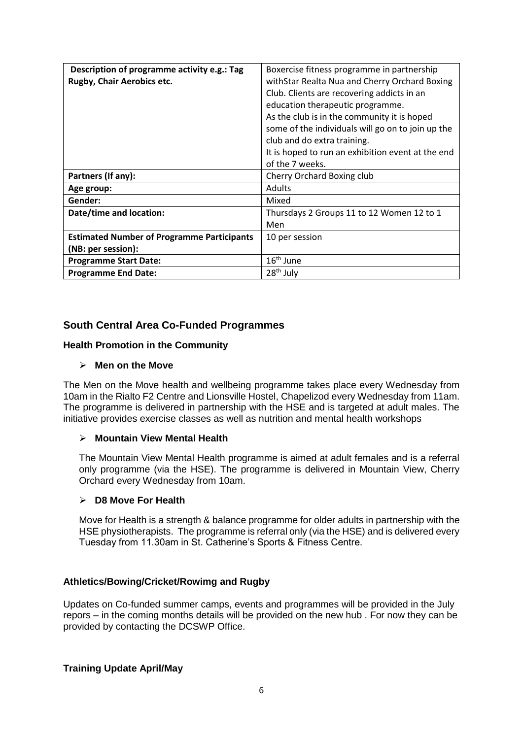| Description of programme activity e.g.: Tag       | Boxercise fitness programme in partnership        |
|---------------------------------------------------|---------------------------------------------------|
| Rugby, Chair Aerobics etc.                        | withStar Realta Nua and Cherry Orchard Boxing     |
|                                                   | Club. Clients are recovering addicts in an        |
|                                                   | education therapeutic programme.                  |
|                                                   | As the club is in the community it is hoped       |
|                                                   | some of the individuals will go on to join up the |
|                                                   | club and do extra training.                       |
|                                                   | It is hoped to run an exhibition event at the end |
|                                                   | of the 7 weeks.                                   |
| Partners (If any):                                | Cherry Orchard Boxing club                        |
| Age group:                                        | <b>Adults</b>                                     |
| Gender:                                           | Mixed                                             |
| Date/time and location:                           | Thursdays 2 Groups 11 to 12 Women 12 to 1         |
|                                                   | Men                                               |
| <b>Estimated Number of Programme Participants</b> | 10 per session                                    |
| (NB: per session):                                |                                                   |
| <b>Programme Start Date:</b>                      | $16th$ June                                       |
| <b>Programme End Date:</b>                        | 28 <sup>th</sup> July                             |

## **South Central Area Co-Funded Programmes**

#### **Health Promotion in the Community**

#### **Men on the Move**

The Men on the Move health and wellbeing programme takes place every Wednesday from 10am in the Rialto F2 Centre and Lionsville Hostel, Chapelizod every Wednesday from 11am. The programme is delivered in partnership with the HSE and is targeted at adult males. The initiative provides exercise classes as well as nutrition and mental health workshops

#### **Mountain View Mental Health**

The Mountain View Mental Health programme is aimed at adult females and is a referral only programme (via the HSE). The programme is delivered in Mountain View, Cherry Orchard every Wednesday from 10am.

#### **D8 Move For Health**

Move for Health is a strength & balance programme for older adults in partnership with the HSE physiotherapists. The programme is referral only (via the HSE) and is delivered every Tuesday from 11.30am in St. Catherine's Sports & Fitness Centre.

#### **Athletics/Bowing/Cricket/Rowimg and Rugby**

Updates on Co-funded summer camps, events and programmes will be provided in the July repors – in the coming months details will be provided on the new hub . For now they can be provided by contacting the DCSWP Office.

#### **Training Update April/May**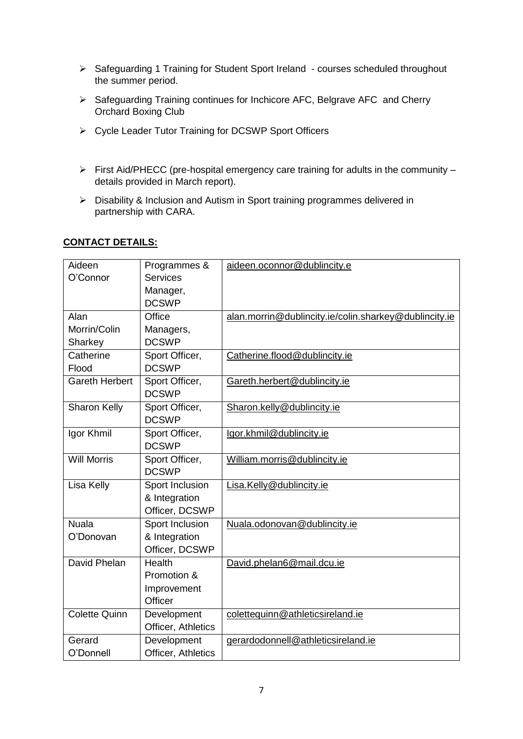- > Safeguarding 1 Training for Student Sport Ireland courses scheduled throughout the summer period.
- Safeguarding Training continues for Inchicore AFC, Belgrave AFC and Cherry Orchard Boxing Club
- Cycle Leader Tutor Training for DCSWP Sport Officers
- $\triangleright$  First Aid/PHECC (pre-hospital emergency care training for adults in the community details provided in March report).
- Disability & Inclusion and Autism in Sport training programmes delivered in partnership with CARA.

#### **CONTACT DETAILS:**

| Aideen                | Programmes &       | aideen.oconnor@dublincity.e                           |
|-----------------------|--------------------|-------------------------------------------------------|
| O'Connor              | <b>Services</b>    |                                                       |
|                       | Manager,           |                                                       |
|                       | <b>DCSWP</b>       |                                                       |
| Alan                  | Office             | alan.morrin@dublincity.ie/colin.sharkey@dublincity.ie |
| Morrin/Colin          | Managers,          |                                                       |
| Sharkey               | <b>DCSWP</b>       |                                                       |
| Catherine             | Sport Officer,     | Catherine.flood@dublincity.ie                         |
| Flood                 | <b>DCSWP</b>       |                                                       |
| <b>Gareth Herbert</b> | Sport Officer,     | Gareth.herbert@dublincity.ie                          |
|                       | <b>DCSWP</b>       |                                                       |
| Sharon Kelly          | Sport Officer,     | Sharon.kelly@dublincity.ie                            |
|                       | <b>DCSWP</b>       |                                                       |
| Igor Khmil            | Sport Officer,     | lgor.khmil@dublincity.ie                              |
|                       | <b>DCSWP</b>       |                                                       |
| <b>Will Morris</b>    | Sport Officer,     | William.morris@dublincity.ie                          |
|                       | <b>DCSWP</b>       |                                                       |
| Lisa Kelly            | Sport Inclusion    | Lisa.Kelly@dublincity.ie                              |
|                       | & Integration      |                                                       |
|                       | Officer, DCSWP     |                                                       |
| <b>Nuala</b>          | Sport Inclusion    | Nuala.odonovan@dublincity.ie                          |
| O'Donovan             | & Integration      |                                                       |
|                       | Officer, DCSWP     |                                                       |
| David Phelan          | Health             | David.phelan6@mail.dcu.ie                             |
|                       | Promotion &        |                                                       |
|                       | Improvement        |                                                       |
|                       | Officer            |                                                       |
| <b>Colette Quinn</b>  | Development        | colettequinn@athleticsireland.ie                      |
|                       | Officer, Athletics |                                                       |
| Gerard                | Development        | gerardodonnell@athleticsireland.ie                    |
| O'Donnell             | Officer, Athletics |                                                       |